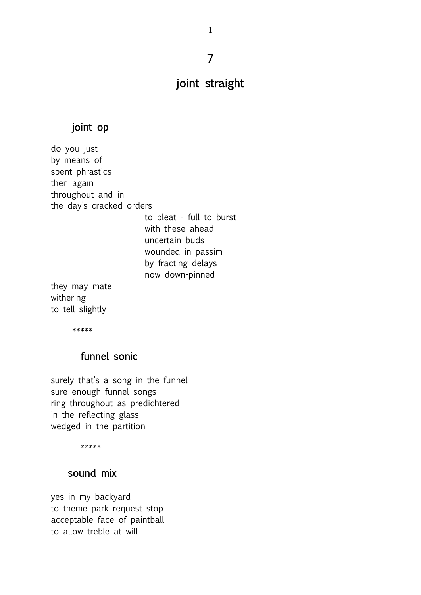# 7

1

# joint straight

#### joint op

do you just by means of spent phrastics then again throughout and in the day's cracked orders to pleat - full to burst with these ahead uncertain buds wounded in passim by fracting delays now down-pinned

they may mate withering to tell slightly

\*\*\*\*\*

# funnel sonic

surely that's a song in the funnel sure enough funnel songs ring throughout as predichtered in the reflecting glass wedged in the partition

\*\*\*\*\*

### sound mix

yes in my backyard to theme park request stop acceptable face of paintball to allow treble at will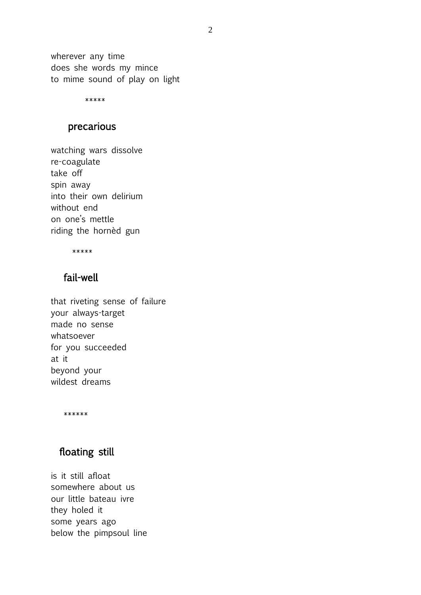wherever any time does she words my mince to mime sound of play on light

\*\*\*\*\*

#### precarious

watching wars dissolve re-coagulate take off spin away into their own delirium without end on one's mettle riding the hornèd gun

\*\*\*\*\*

# fail-well

that riveting sense of failure your always-target made no sense whatsoever for you succeeded at it beyond your wildest dreams

\*\*\*\*\*\*

## floating still

is it still afloat somewhere about us our little bateau ivre they holed it some years ago below the pimpsoul line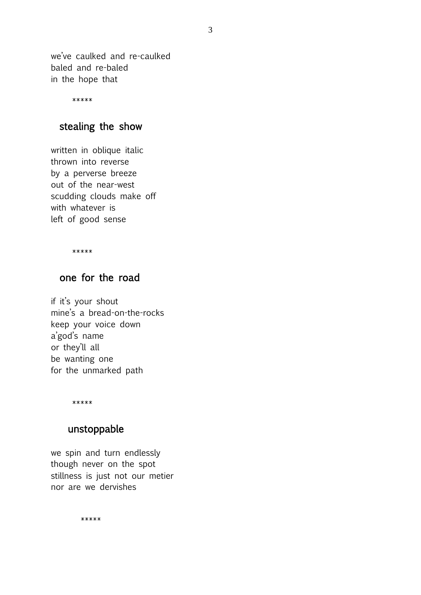we've caulked and re-caulked baled and re-baled in the hope that

\*\*\*\*\*

### stealing the show

written in oblique italic thrown into reverse by a perverse breeze out of the near-west scudding clouds make off with whatever is left of good sense

\*\*\*\*\*

# one for the road

if it's your shout mine's a bread-on-the-rocks keep your voice down a'god's name or they'll all be wanting one for the unmarked path

\*\*\*\*\*

#### unstoppable

we spin and turn endlessly though never on the spot stillness is just not our metier nor are we dervishes

\*\*\*\*\*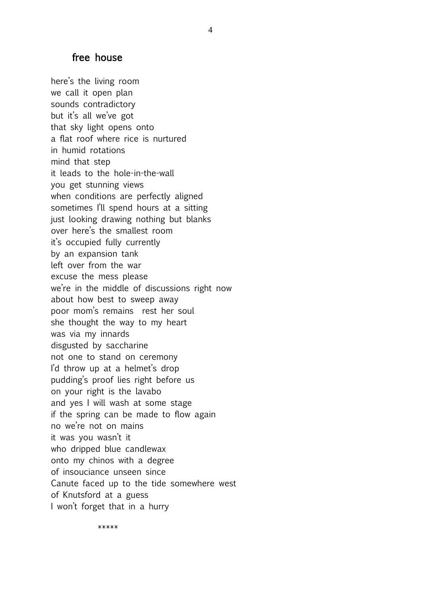#### free house

here's the living room we call it open plan sounds contradictory but it's all we've got that sky light opens onto a flat roof where rice is nurtured in humid rotations mind that step it leads to the hole-in-the-wall you get stunning views when conditions are perfectly aligned sometimes I'll spend hours at a sitting just looking drawing nothing but blanks over here's the smallest room it's occupied fully currently by an expansion tank left over from the war excuse the mess please we're in the middle of discussions right now about how best to sweep away poor mom's remains rest her soul she thought the way to my heart was via my innards disgusted by saccharine not one to stand on ceremony I'd throw up at a helmet's drop pudding's proof lies right before us on your right is the lavabo and yes I will wash at some stage if the spring can be made to flow again no we're not on mains it was you wasn't it who dripped blue candlewax onto my chinos with a degree of insouciance unseen since Canute faced up to the tide somewhere west of Knutsford at a guess I won't forget that in a hurry

\*\*\*\*\*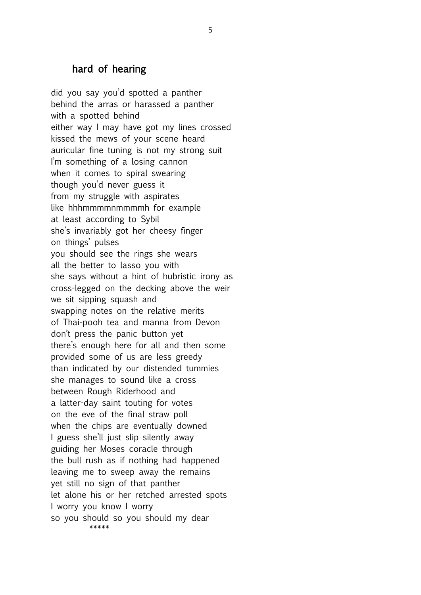### hard of hearing

did you say you'd spotted a panther behind the arras or harassed a panther with a spotted behind either way I may have got my lines crossed kissed the mews of your scene heard auricular fine tuning is not my strong suit I'm something of a losing cannon when it comes to spiral swearing though you'd never guess it from my struggle with aspirates like hhhmmmmnmmmmh for example at least according to Sybil she's invariably got her cheesy finger on things' pulses you should see the rings she wears all the better to lasso you with she says without a hint of hubristic irony as cross-legged on the decking above the weir we sit sipping squash and swapping notes on the relative merits of Thai-pooh tea and manna from Devon don't press the panic button yet there's enough here for all and then some provided some of us are less greedy than indicated by our distended tummies she manages to sound like a cross between Rough Riderhood and a latter-day saint touting for votes on the eve of the final straw poll when the chips are eventually downed I guess she'll just slip silently away guiding her Moses coracle through the bull rush as if nothing had happened leaving me to sweep away the remains yet still no sign of that panther let alone his or her retched arrested spots I worry you know I worry so you should so you should my dear \*\*\*\*\*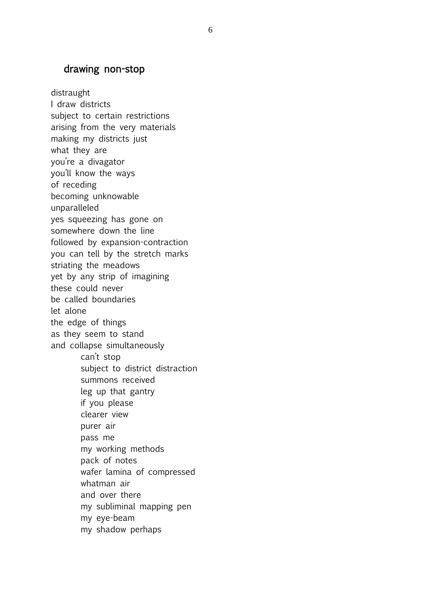### drawing non-stop

distraught I draw districts subject to certain restrictions arising from the very materials making my districts just what they are you're a divagator you'll know the ways of receding becoming unknowable unparalleled yes squeezing has gone on somewhere down the line followed by expansion-contraction you can tell by the stretch marks striating the meadows yet by any strip of imagining these could never be called boundaries let alone the edge of things as they seem to stand and collapse simultaneously can't stop subject to district distraction summons received leg up that gantry if you please clearer view purer air pass me my working methods pack of notes wafer lamina of compressed whatman air and over there my subliminal mapping pen my eye-beam my shadow perhaps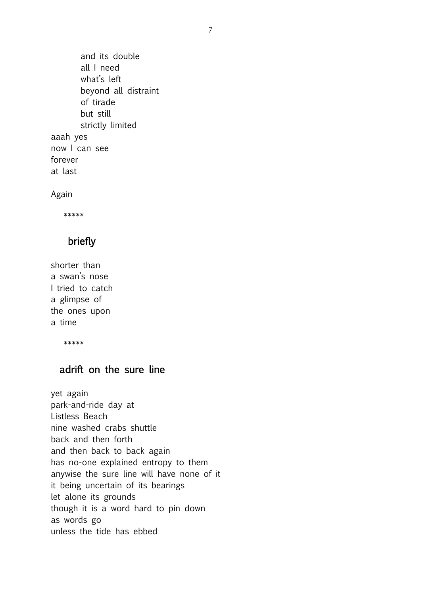and its double all I need what's left beyond all distraint of tirade but still strictly limited aaah yes now I can see forever at last

Again

\*\*\*\*\*

### briefly

shorter than a swan's nose I tried to catch a glimpse of the ones upon a time

\*\*\*\*\*

## adrift on the sure line

yet again park-and-ride day at Listless Beach nine washed crabs shuttle back and then forth and then back to back again has no-one explained entropy to them anywise the sure line will have none of it it being uncertain of its bearings let alone its grounds though it is a word hard to pin down as words go unless the tide has ebbed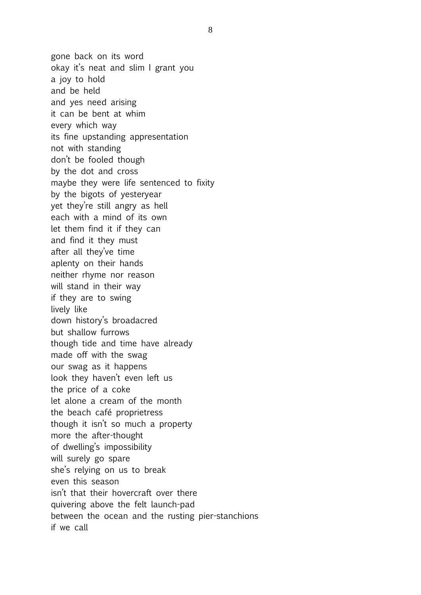gone back on its word okay it's neat and slim I grant you a joy to hold and be held and yes need arising it can be bent at whim every which way its fine upstanding appresentation not with standing don't be fooled though by the dot and cross maybe they were life sentenced to fixity by the bigots of yesteryear yet they're still angry as hell each with a mind of its own let them find it if they can and find it they must after all they've time aplenty on their hands neither rhyme nor reason will stand in their way if they are to swing lively like down history's broadacred but shallow furrows though tide and time have already made off with the swag our swag as it happens look they haven't even left us the price of a coke let alone a cream of the month the beach café proprietress though it isn't so much a property more the after-thought of dwelling's impossibility will surely go spare she's relying on us to break even this season isn't that their hovercraft over there quivering above the felt launch-pad between the ocean and the rusting pier-stanchions if we call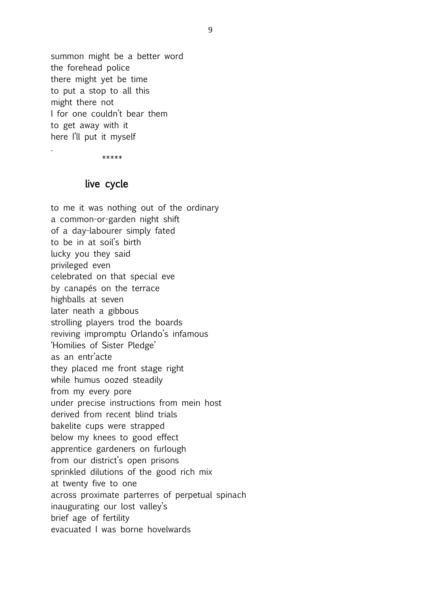summon might be a better word the forehead police there might yet be time to put a stop to all this might there not I for one couldn't bear them to get away with it here I'll put it myself

\*\*\*\*\*

.

#### live cycle

to me it was nothing out of the ordinary a common-or-garden night shift of a day-labourer simply fated to be in at soil's birth lucky you they said privileged even celebrated on that special eve by canapés on the terrace highballs at seven later neath a gibbous strolling players trod the boards reviving impromptu Orlando's infamous 'Homilies of Sister Pledge' as an entr'acte they placed me front stage right while humus oozed steadily from my every pore under precise instructions from mein host derived from recent blind trials bakelite cups were strapped below my knees to good effect apprentice gardeners on furlough from our district's open prisons sprinkled dilutions of the good rich mix at twenty five to one across proximate parterres of perpetual spinach inaugurating our lost valley's brief age of fertility evacuated I was borne hovelwards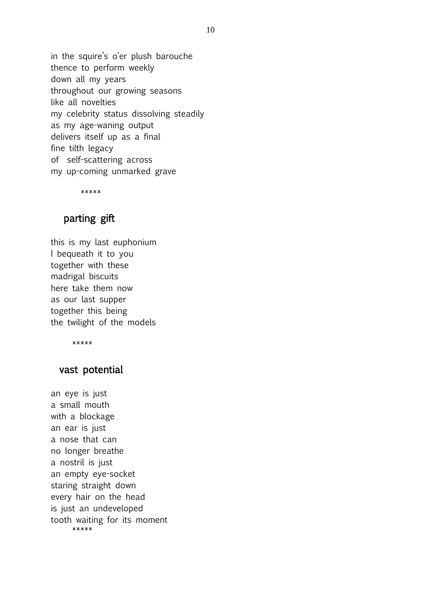in the squire's o'er plush barouche thence to perform weekly down all my years throughout our growing seasons like all novelties my celebrity status dissolving steadily as my age-waning output delivers itself up as a final fine tilth legacy of self-scattering across my up-coming unmarked grave

\*\*\*\*\*

# parting gift

this is my last euphonium I bequeath it to you together with these madrigal biscuits here take them now as our last supper together this being the twilight of the models

\*\*\*\*\*

#### vast potential

an eye is just a small mouth with a blockage an ear is just a nose that can no longer breathe a nostril is just an empty eye-socket staring straight down every hair on the head is just an undeveloped tooth waiting for its moment \*\*\*\*\*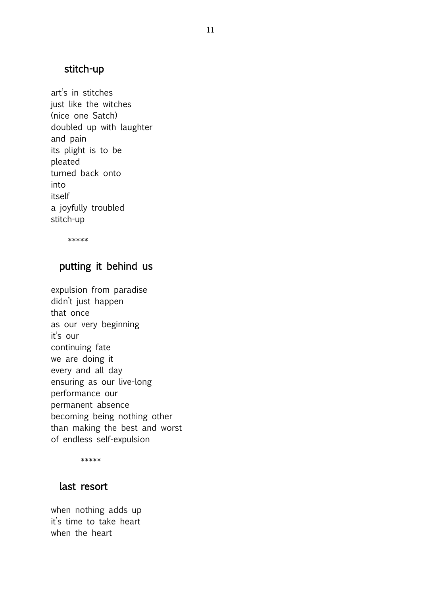## stitch-up

art's in stitches just like the witches (nice one Satch) doubled up with laughter and pain its plight is to be pleated turned back onto into itself a joyfully troubled stitch-up

\*\*\*\*\*

### putting it behind us

expulsion from paradise didn't just happen that once as our very beginning it's our continuing fate we are doing it every and all day ensuring as our live-long performance our permanent absence becoming being nothing other than making the best and worst of endless self-expulsion

\*\*\*\*\*

#### last resort

when nothing adds up it's time to take heart when the heart